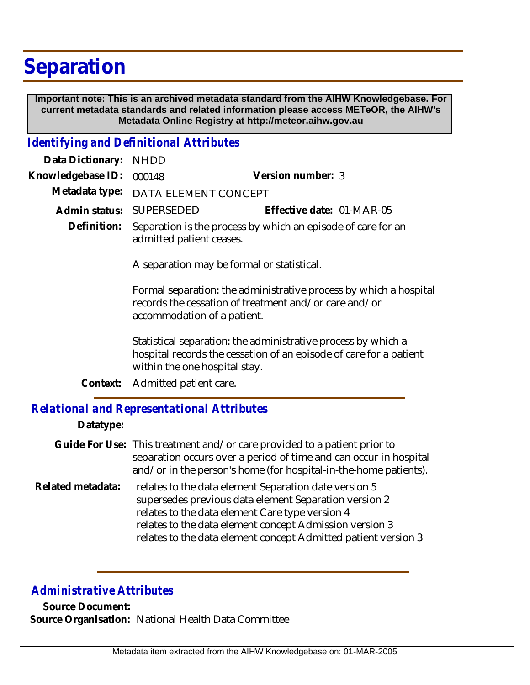# **Separation**

 **Important note: This is an archived metadata standard from the AIHW Knowledgebase. For current metadata standards and related information please access METeOR, the AIHW's Metadata Online Registry at http://meteor.aihw.gov.au**

## *Identifying and Definitional Attributes*

| Data Dictionary:  | <b>NHDD</b>                                                                                                                                               |                                                                                                                                     |
|-------------------|-----------------------------------------------------------------------------------------------------------------------------------------------------------|-------------------------------------------------------------------------------------------------------------------------------------|
| Knowledgebase ID: | 000148                                                                                                                                                    | Version number: 3                                                                                                                   |
| Metadata type:    | DATA ELEMENT CONCEPT                                                                                                                                      |                                                                                                                                     |
| Admin status:     | SUPERSEDED                                                                                                                                                | Effective date: 01-MAR-05                                                                                                           |
| Definition:       | Separation is the process by which an episode of care for an<br>admitted patient ceases.<br>A separation may be formal or statistical.                    |                                                                                                                                     |
|                   |                                                                                                                                                           |                                                                                                                                     |
|                   | Formal separation: the administrative process by which a hospital<br>records the cessation of treatment and/or care and/or<br>accommodation of a patient. |                                                                                                                                     |
|                   | within the one hospital stay.                                                                                                                             | Statistical separation: the administrative process by which a<br>hospital records the cessation of an episode of care for a patient |
| Context:          | Admitted patient care.                                                                                                                                    |                                                                                                                                     |
|                   |                                                                                                                                                           |                                                                                                                                     |

### *Relational and Representational Attributes*

#### **Datatype:**

Guide For Use: This treatment and/or care provided to a patient prior to separation occurs over a period of time and can occur in hospital and/or in the person's home (for hospital-in-the-home patients). relates to the data element Separation date version 5 supersedes previous data element Separation version 2 **Related metadata:**

relates to the data element Care type version 4 relates to the data element concept Admission version 3 relates to the data element concept Admitted patient version 3

## *Administrative Attributes*

**Source Document: Source Organisation:** National Health Data Committee